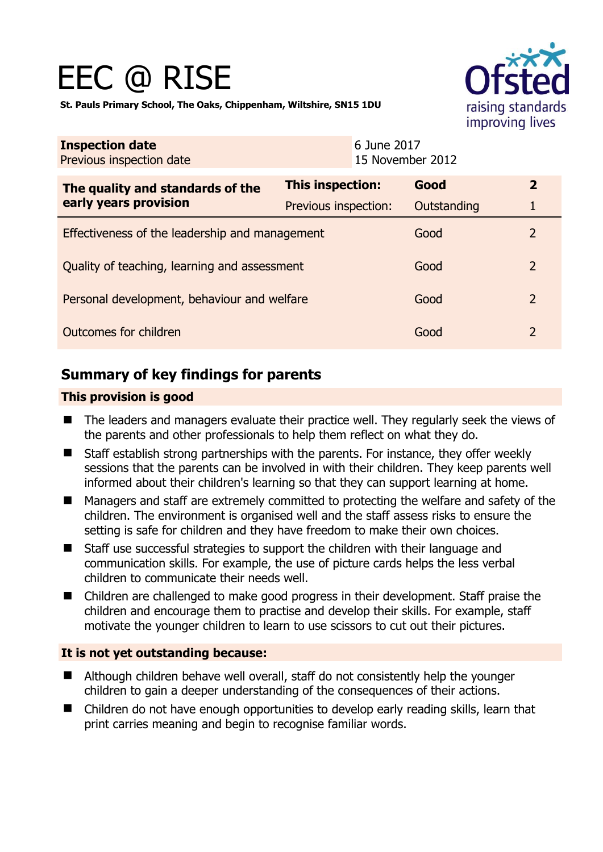# EEC @ RISE



**St. Pauls Primary School, The Oaks, Chippenham, Wiltshire, SN15 1DU** 

| <b>Inspection date</b><br>Previous inspection date        |                      | 6 June 2017<br>15 November 2012 |             |                |
|-----------------------------------------------------------|----------------------|---------------------------------|-------------|----------------|
| The quality and standards of the<br>early years provision | This inspection:     |                                 | Good        | $\overline{2}$ |
|                                                           | Previous inspection: |                                 | Outstanding | 1              |
| Effectiveness of the leadership and management            |                      |                                 | Good        | 2              |
| Quality of teaching, learning and assessment              |                      |                                 | Good        | $\overline{2}$ |
| Personal development, behaviour and welfare               |                      |                                 | Good        | $\overline{2}$ |
| Outcomes for children                                     |                      |                                 | Good        | $\overline{2}$ |

# **Summary of key findings for parents**

#### **This provision is good**

- The leaders and managers evaluate their practice well. They regularly seek the views of the parents and other professionals to help them reflect on what they do.
- Staff establish strong partnerships with the parents. For instance, they offer weekly sessions that the parents can be involved in with their children. They keep parents well informed about their children's learning so that they can support learning at home.
- Managers and staff are extremely committed to protecting the welfare and safety of the children. The environment is organised well and the staff assess risks to ensure the setting is safe for children and they have freedom to make their own choices.
- Staff use successful strategies to support the children with their language and communication skills. For example, the use of picture cards helps the less verbal children to communicate their needs well.
- Children are challenged to make good progress in their development. Staff praise the children and encourage them to practise and develop their skills. For example, staff motivate the younger children to learn to use scissors to cut out their pictures.

## **It is not yet outstanding because:**

- Although children behave well overall, staff do not consistently help the younger children to gain a deeper understanding of the consequences of their actions.
- Children do not have enough opportunities to develop early reading skills, learn that print carries meaning and begin to recognise familiar words.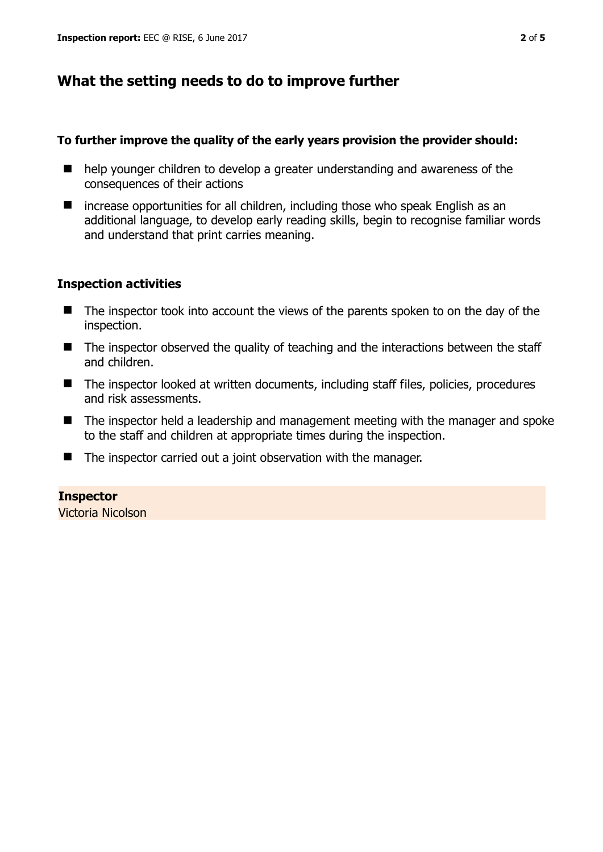# **What the setting needs to do to improve further**

#### **To further improve the quality of the early years provision the provider should:**

- help younger children to develop a greater understanding and awareness of the consequences of their actions
- $\blacksquare$  increase opportunities for all children, including those who speak English as an additional language, to develop early reading skills, begin to recognise familiar words and understand that print carries meaning.

## **Inspection activities**

- The inspector took into account the views of the parents spoken to on the day of the inspection.
- The inspector observed the quality of teaching and the interactions between the staff and children.
- The inspector looked at written documents, including staff files, policies, procedures and risk assessments.
- The inspector held a leadership and management meeting with the manager and spoke to the staff and children at appropriate times during the inspection.
- $\blacksquare$  The inspector carried out a joint observation with the manager.

## **Inspector**

Victoria Nicolson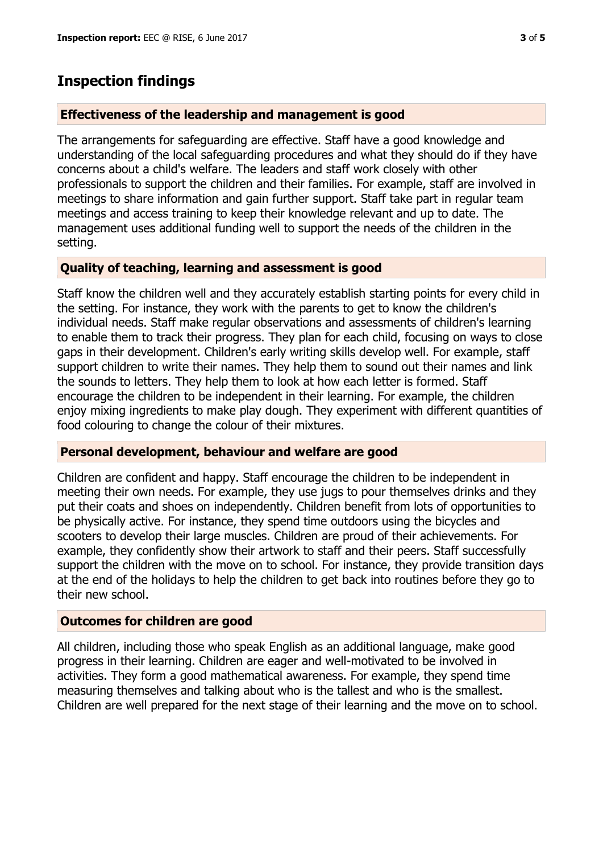## **Inspection findings**

#### **Effectiveness of the leadership and management is good**

The arrangements for safeguarding are effective. Staff have a good knowledge and understanding of the local safeguarding procedures and what they should do if they have concerns about a child's welfare. The leaders and staff work closely with other professionals to support the children and their families. For example, staff are involved in meetings to share information and gain further support. Staff take part in regular team meetings and access training to keep their knowledge relevant and up to date. The management uses additional funding well to support the needs of the children in the setting.

#### **Quality of teaching, learning and assessment is good**

Staff know the children well and they accurately establish starting points for every child in the setting. For instance, they work with the parents to get to know the children's individual needs. Staff make regular observations and assessments of children's learning to enable them to track their progress. They plan for each child, focusing on ways to close gaps in their development. Children's early writing skills develop well. For example, staff support children to write their names. They help them to sound out their names and link the sounds to letters. They help them to look at how each letter is formed. Staff encourage the children to be independent in their learning. For example, the children enjoy mixing ingredients to make play dough. They experiment with different quantities of food colouring to change the colour of their mixtures.

#### **Personal development, behaviour and welfare are good**

Children are confident and happy. Staff encourage the children to be independent in meeting their own needs. For example, they use jugs to pour themselves drinks and they put their coats and shoes on independently. Children benefit from lots of opportunities to be physically active. For instance, they spend time outdoors using the bicycles and scooters to develop their large muscles. Children are proud of their achievements. For example, they confidently show their artwork to staff and their peers. Staff successfully support the children with the move on to school. For instance, they provide transition days at the end of the holidays to help the children to get back into routines before they go to their new school.

#### **Outcomes for children are good**

All children, including those who speak English as an additional language, make good progress in their learning. Children are eager and well-motivated to be involved in activities. They form a good mathematical awareness. For example, they spend time measuring themselves and talking about who is the tallest and who is the smallest. Children are well prepared for the next stage of their learning and the move on to school.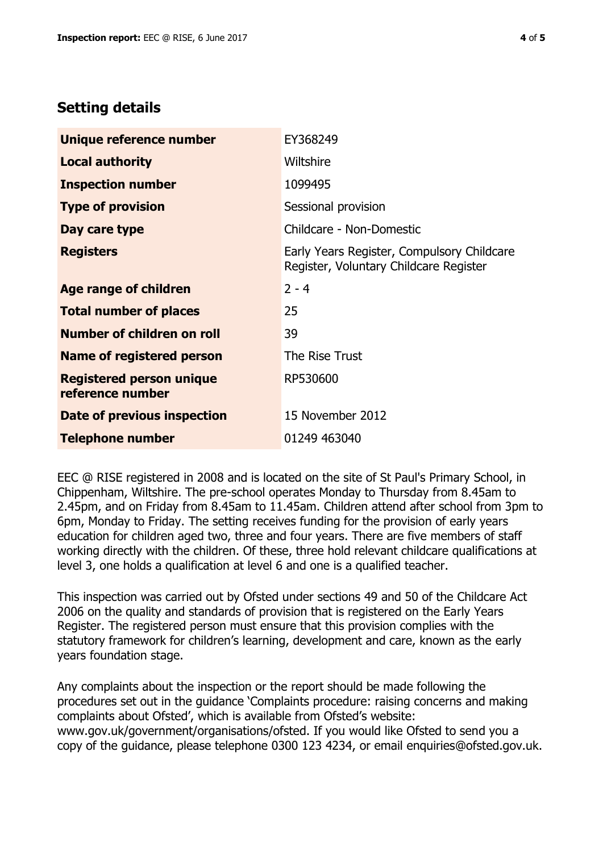## **Setting details**

| Unique reference number                             | EY368249                                                                             |  |
|-----------------------------------------------------|--------------------------------------------------------------------------------------|--|
| <b>Local authority</b>                              | Wiltshire                                                                            |  |
| <b>Inspection number</b>                            | 1099495                                                                              |  |
| <b>Type of provision</b>                            | Sessional provision                                                                  |  |
| Day care type                                       | Childcare - Non-Domestic                                                             |  |
| <b>Registers</b>                                    | Early Years Register, Compulsory Childcare<br>Register, Voluntary Childcare Register |  |
| Age range of children                               | $2 - 4$                                                                              |  |
| <b>Total number of places</b>                       | 25                                                                                   |  |
| Number of children on roll                          | 39                                                                                   |  |
| Name of registered person                           | The Rise Trust                                                                       |  |
| <b>Registered person unique</b><br>reference number | RP530600                                                                             |  |
| Date of previous inspection                         | 15 November 2012                                                                     |  |
| <b>Telephone number</b>                             | 01249 463040                                                                         |  |

EEC @ RISE registered in 2008 and is located on the site of St Paul's Primary School, in Chippenham, Wiltshire. The pre-school operates Monday to Thursday from 8.45am to 2.45pm, and on Friday from 8.45am to 11.45am. Children attend after school from 3pm to 6pm, Monday to Friday. The setting receives funding for the provision of early years education for children aged two, three and four years. There are five members of staff working directly with the children. Of these, three hold relevant childcare qualifications at level 3, one holds a qualification at level 6 and one is a qualified teacher.

This inspection was carried out by Ofsted under sections 49 and 50 of the Childcare Act 2006 on the quality and standards of provision that is registered on the Early Years Register. The registered person must ensure that this provision complies with the statutory framework for children's learning, development and care, known as the early years foundation stage.

Any complaints about the inspection or the report should be made following the procedures set out in the guidance 'Complaints procedure: raising concerns and making complaints about Ofsted', which is available from Ofsted's website: www.gov.uk/government/organisations/ofsted. If you would like Ofsted to send you a copy of the guidance, please telephone 0300 123 4234, or email enquiries@ofsted.gov.uk.